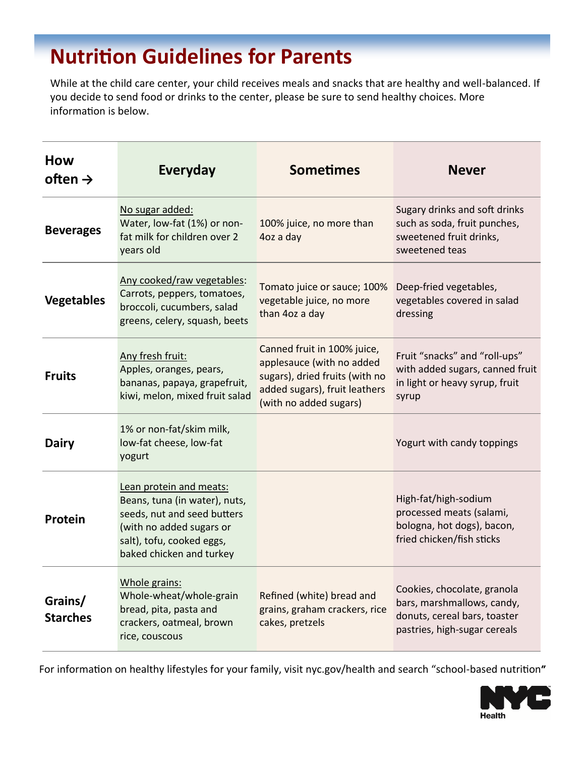# **Nutrition Guidelines for Parents**

While at the child care center, your child receives meals and snacks that are healthy and well-balanced. If you decide to send food or drinks to the center, please be sure to send healthy choices. More information is below.

| How<br>often $\rightarrow$ | <b>Everyday</b>                                                                                                                                                              | <b>Sometimes</b>                                                                                                                                      | <b>Never</b>                                                                                                              |
|----------------------------|------------------------------------------------------------------------------------------------------------------------------------------------------------------------------|-------------------------------------------------------------------------------------------------------------------------------------------------------|---------------------------------------------------------------------------------------------------------------------------|
| <b>Beverages</b>           | No sugar added:<br>Water, low-fat (1%) or non-<br>fat milk for children over 2<br>years old                                                                                  | 100% juice, no more than<br>4oz a day                                                                                                                 | Sugary drinks and soft drinks<br>such as soda, fruit punches,<br>sweetened fruit drinks,<br>sweetened teas                |
| <b>Vegetables</b>          | Any cooked/raw vegetables:<br>Carrots, peppers, tomatoes,<br>broccoli, cucumbers, salad<br>greens, celery, squash, beets                                                     | Tomato juice or sauce; 100%<br>vegetable juice, no more<br>than 4oz a day                                                                             | Deep-fried vegetables,<br>vegetables covered in salad<br>dressing                                                         |
| <b>Fruits</b>              | Any fresh fruit:<br>Apples, oranges, pears,<br>bananas, papaya, grapefruit,<br>kiwi, melon, mixed fruit salad                                                                | Canned fruit in 100% juice,<br>applesauce (with no added<br>sugars), dried fruits (with no<br>added sugars), fruit leathers<br>(with no added sugars) | Fruit "snacks" and "roll-ups"<br>with added sugars, canned fruit<br>in light or heavy syrup, fruit<br>syrup               |
| <b>Dairy</b>               | 1% or non-fat/skim milk,<br>low-fat cheese, low-fat<br>yogurt                                                                                                                |                                                                                                                                                       | Yogurt with candy toppings                                                                                                |
| Protein                    | Lean protein and meats:<br>Beans, tuna (in water), nuts,<br>seeds, nut and seed butters<br>(with no added sugars or<br>salt), tofu, cooked eggs,<br>baked chicken and turkey |                                                                                                                                                       | High-fat/high-sodium<br>processed meats (salami,<br>bologna, hot dogs), bacon,<br>fried chicken/fish sticks               |
| Grains/<br><b>Starches</b> | Whole grains:<br>Whole-wheat/whole-grain<br>bread, pita, pasta and<br>crackers, oatmeal, brown<br>rice, couscous                                                             | Refined (white) bread and<br>grains, graham crackers, rice<br>cakes, pretzels                                                                         | Cookies, chocolate, granola<br>bars, marshmallows, candy,<br>donuts, cereal bars, toaster<br>pastries, high-sugar cereals |

For information on healthy lifestyles for your family, visit nyc.gov/health and search "school-based nutrition**"**